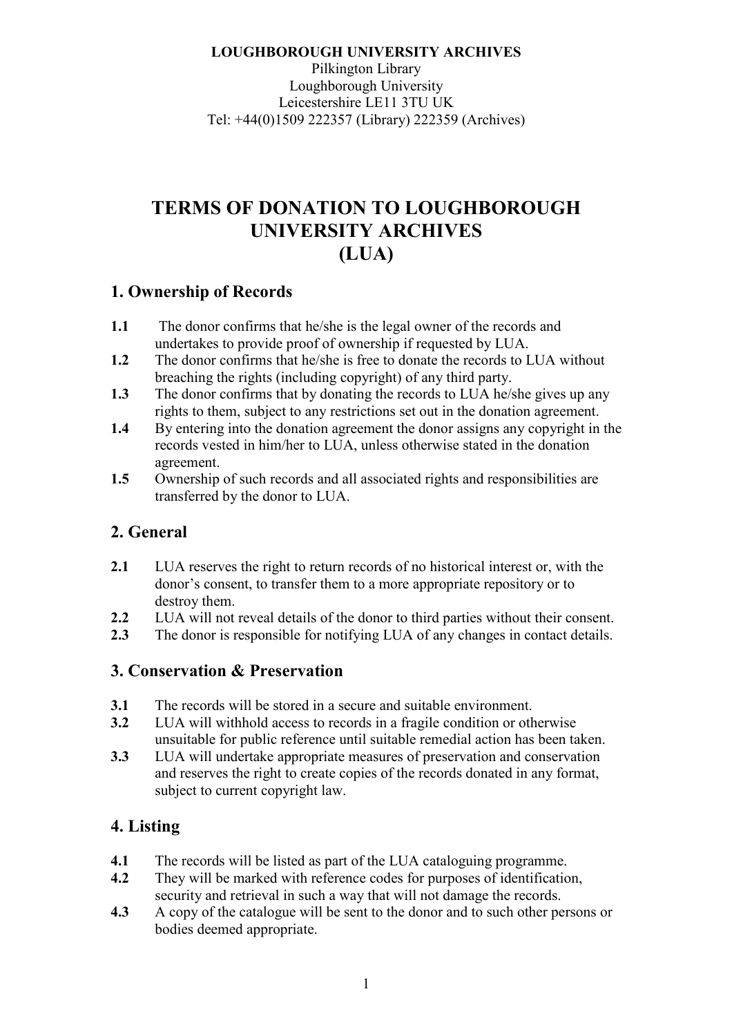**LOUGHBOROUGH UNIVERSITY ARCHIVES**  Pilkington Library Loughborough University Leicestershire LE11 3TU UK Tel: +44(0)1509 222357 (Library) 222359 (Archives)

# **TERMS OF DONATION TO LOUGHBOROUGH UNIVERSITY ARCHIVES (LUA)**

# **1. Ownership of Records**

- **1.1** The donor confirms that he/she is the legal owner of the records and undertakes to provide proof of ownership if requested by LUA.
- **1.2** The donor confirms that he/she is free to donate the records to LUA without breaching the rights (including copyright) of any third party.
- **1.3** The donor confirms that by donating the records to LUA he/she gives up any rights to them, subject to any restrictions set out in the donation agreement.
- **1.4** By entering into the donation agreement the donor assigns any copyright in the records vested in him/her to LUA, unless otherwise stated in the donation agreement.
- **1.5** Ownership of such records and all associated rights and responsibilities are transferred by the donor to LUA.

# **2. General**

- **2.1** LUA reserves the right to return records of no historical interest or, with the donor's consent, to transfer them to a more appropriate repository or to destroy them.
- **2.2** LUA will not reveal details of the donor to third parties without their consent.
- **2.3** The donor is responsible for notifying LUA of any changes in contact details.

# **3. Conservation & Preservation**

- **3.1** The records will be stored in a secure and suitable environment.
- **3.2** LUA will withhold access to records in a fragile condition or otherwise unsuitable for public reference until suitable remedial action has been taken.
- **3.3** LUA will undertake appropriate measures of preservation and conservation and reserves the right to create copies of the records donated in any format, subject to current copyright law.

# **4. Listing**

- **4.1** The records will be listed as part of the LUA cataloguing programme.
- **4.2** They will be marked with reference codes for purposes of identification, security and retrieval in such a way that will not damage the records.
- **4.3** A copy of the catalogue will be sent to the donor and to such other persons or bodies deemed appropriate.